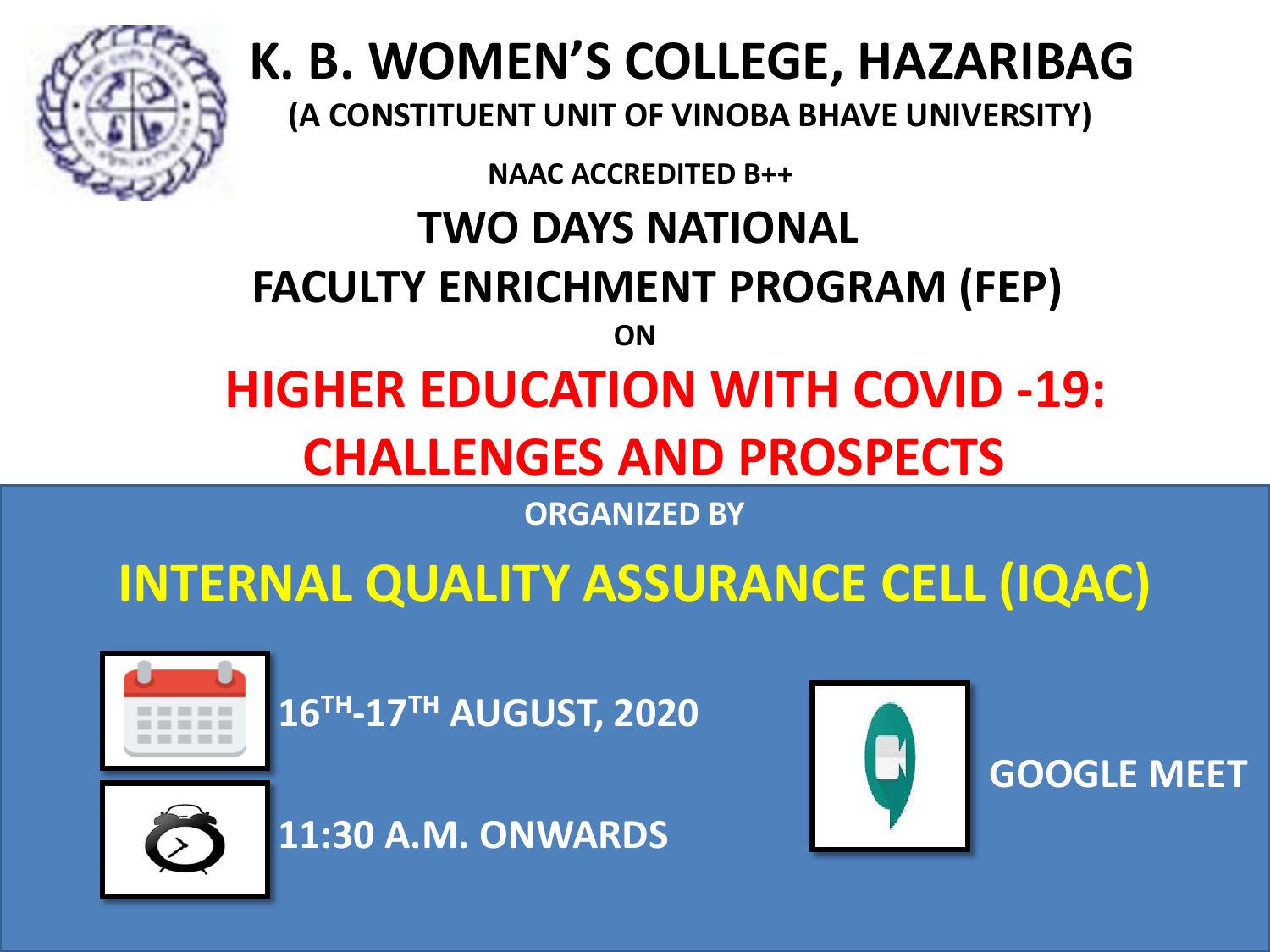

# **K. B. WOMEN'S COLLEGE, HAZARIBAG**

**(A CONSTITUENT UNIT OF VINOBA BHAVE UNIVERSITY)**

**NAAC ACCREDITED B++**

## **TWO DAYS NATIONAL**

### **FACULTY ENRICHMENT PROGRAM (FEP)**

**ON**

# **HIGHER EDUCATION WITH COVID -19: CHALLENGES AND PROSPECTS**

**ORGANIZED BY**

## **INTERNAL QUALITY ASSURANCE CELL (IQAC)**



**16TH-17TH AUGUST, 2020**



**11:30 A.M. ONWARDS**



 **GOOGLE MEET**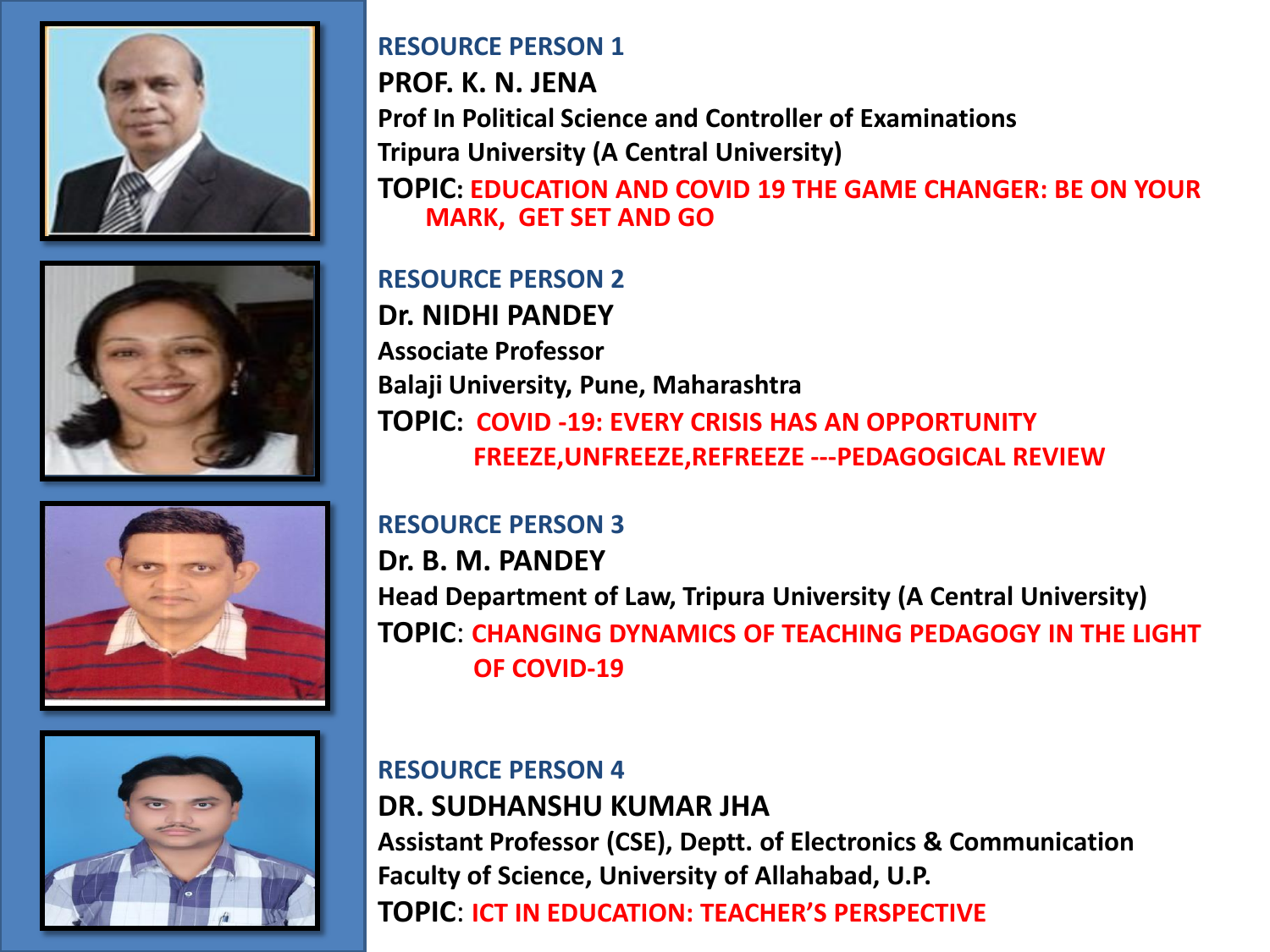







#### **RESOURCE PERSON 1**

**PROF. K. N. JENA Prof In Political Science and Controller of Examinations Tripura University (A Central University) TOPIC: EDUCATION AND COVID 19 THE GAME CHANGER: BE ON YOUR MARK, GET SET AND GO**

**RESOURCE PERSON 2 Dr. NIDHI PANDEY Associate Professor Balaji University, Pune, Maharashtra TOPIC: COVID -19: EVERY CRISIS HAS AN OPPORTUNITY FREEZE,UNFREEZE,REFREEZE ---PEDAGOGICAL REVIEW**

#### **RESOURCE PERSON 3**

**Dr. B. M. PANDEY Head Department of Law, Tripura University (A Central University) TOPIC**: **CHANGING DYNAMICS OF TEACHING PEDAGOGY IN THE LIGHT OF COVID-19**

### **RESOURCE PERSON 4 DR. SUDHANSHU KUMAR JHA Assistant Professor (CSE), Deptt. of Electronics & Communication Faculty of Science, University of Allahabad, U.P. TOPIC**: **ICT IN EDUCATION: TEACHER'S PERSPECTIVE**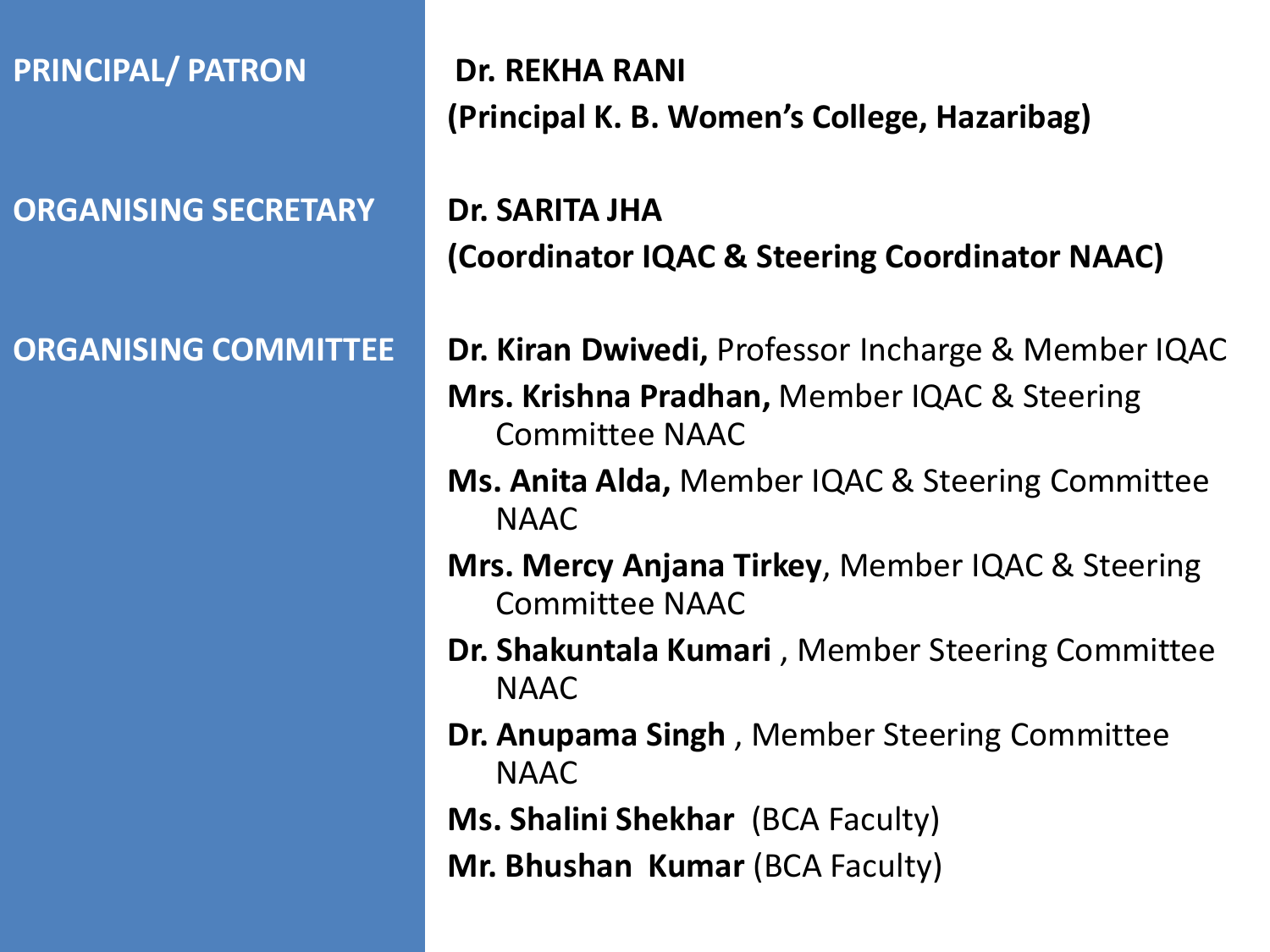**PRINCIPAL/ PATRON**

**ORGANISING SECRETARY**

**ORGANISING COMMITTEE**

**Dr. REKHA RANI (Principal K. B. Women's College, Hazaribag)**

**Dr. SARITA JHA (Coordinator IQAC & Steering Coordinator NAAC)**

**Dr. Kiran Dwivedi,** Professor Incharge & Member IQAC **Mrs. Krishna Pradhan,** Member IQAC & Steering Committee NAAC

- **Ms. Anita Alda,** Member IQAC & Steering Committee NAAC
- **Mrs. Mercy Anjana Tirkey**, Member IQAC & Steering Committee NAAC
- **Dr. Shakuntala Kumari** , Member Steering Committee NAAC
- **Dr. Anupama Singh** , Member Steering Committee NAAC
- **Ms. Shalini Shekhar** (BCA Faculty)
- **Mr. Bhushan Kumar (BCA Faculty)**